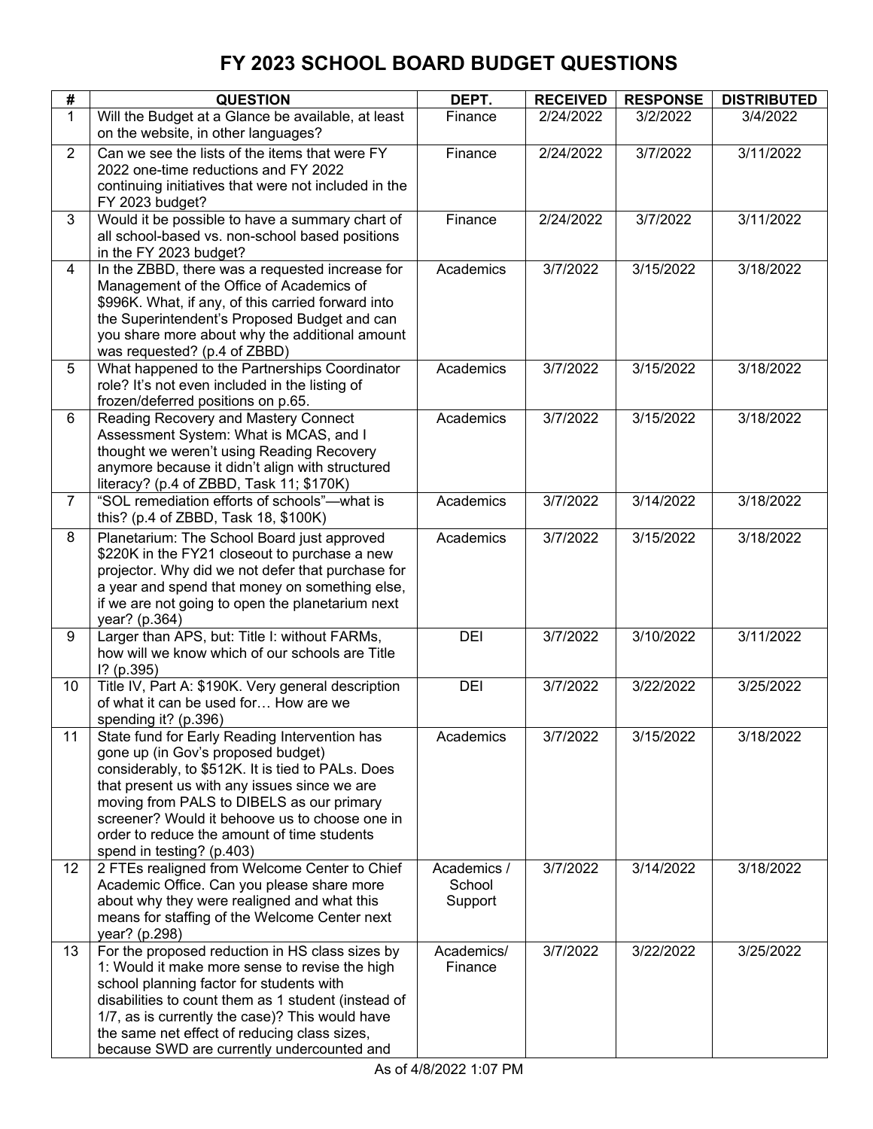| #              | <b>QUESTION</b>                                                                                                                                                                                                                                                                                                                                                     | DEPT.                            | <b>RECEIVED</b> | <b>RESPONSE</b> | <b>DISTRIBUTED</b> |
|----------------|---------------------------------------------------------------------------------------------------------------------------------------------------------------------------------------------------------------------------------------------------------------------------------------------------------------------------------------------------------------------|----------------------------------|-----------------|-----------------|--------------------|
| $\mathbf{1}$   | Will the Budget at a Glance be available, at least<br>on the website, in other languages?                                                                                                                                                                                                                                                                           | Finance                          | 2/24/2022       | 3/2/2022        | 3/4/2022           |
| $\overline{2}$ | Can we see the lists of the items that were FY<br>2022 one-time reductions and FY 2022<br>continuing initiatives that were not included in the<br>FY 2023 budget?                                                                                                                                                                                                   | Finance                          | 2/24/2022       | 3/7/2022        | 3/11/2022          |
| 3              | Would it be possible to have a summary chart of<br>all school-based vs. non-school based positions<br>in the FY 2023 budget?                                                                                                                                                                                                                                        | Finance                          | 2/24/2022       | 3/7/2022        | 3/11/2022          |
| 4              | In the ZBBD, there was a requested increase for<br>Management of the Office of Academics of<br>\$996K. What, if any, of this carried forward into<br>the Superintendent's Proposed Budget and can<br>you share more about why the additional amount<br>was requested? (p.4 of ZBBD)                                                                                 | Academics                        | 3/7/2022        | 3/15/2022       | 3/18/2022          |
| 5              | What happened to the Partnerships Coordinator<br>role? It's not even included in the listing of<br>frozen/deferred positions on p.65.                                                                                                                                                                                                                               | Academics                        | 3/7/2022        | 3/15/2022       | 3/18/2022          |
| $6\phantom{a}$ | Reading Recovery and Mastery Connect<br>Assessment System: What is MCAS, and I<br>thought we weren't using Reading Recovery<br>anymore because it didn't align with structured<br>literacy? (p.4 of ZBBD, Task 11; \$170K)                                                                                                                                          | Academics                        | 3/7/2022        | 3/15/2022       | 3/18/2022          |
| $\overline{7}$ | "SOL remediation efforts of schools"-- what is<br>this? (p.4 of ZBBD, Task 18, \$100K)                                                                                                                                                                                                                                                                              | Academics                        | 3/7/2022        | 3/14/2022       | 3/18/2022          |
| 8              | Planetarium: The School Board just approved<br>\$220K in the FY21 closeout to purchase a new<br>projector. Why did we not defer that purchase for<br>a year and spend that money on something else,<br>if we are not going to open the planetarium next<br>year? (p.364)                                                                                            | Academics                        | 3/7/2022        | 3/15/2022       | 3/18/2022          |
| 9              | Larger than APS, but: Title I: without FARMs,<br>how will we know which of our schools are Title<br>$1?$ (p.395)                                                                                                                                                                                                                                                    | DEI                              | 3/7/2022        | 3/10/2022       | 3/11/2022          |
| 10             | Title IV, Part A: \$190K. Very general description<br>of what it can be used for How are we<br>spending it? (p.396)                                                                                                                                                                                                                                                 | DEI                              | 3/7/2022        | 3/22/2022       | 3/25/2022          |
| 11             | State fund for Early Reading Intervention has<br>gone up (in Gov's proposed budget)<br>considerably, to \$512K. It is tied to PALs. Does<br>that present us with any issues since we are<br>moving from PALS to DIBELS as our primary<br>screener? Would it behoove us to choose one in<br>order to reduce the amount of time students<br>spend in testing? (p.403) | Academics                        | 3/7/2022        | 3/15/2022       | 3/18/2022          |
| 12             | 2 FTEs realigned from Welcome Center to Chief<br>Academic Office. Can you please share more<br>about why they were realigned and what this<br>means for staffing of the Welcome Center next<br>year? (p.298)                                                                                                                                                        | Academics /<br>School<br>Support | 3/7/2022        | 3/14/2022       | 3/18/2022          |
| 13             | For the proposed reduction in HS class sizes by<br>1: Would it make more sense to revise the high<br>school planning factor for students with<br>disabilities to count them as 1 student (instead of<br>1/7, as is currently the case)? This would have<br>the same net effect of reducing class sizes,<br>because SWD are currently undercounted and               | Academics/<br>Finance            | 3/7/2022        | 3/22/2022       | 3/25/2022          |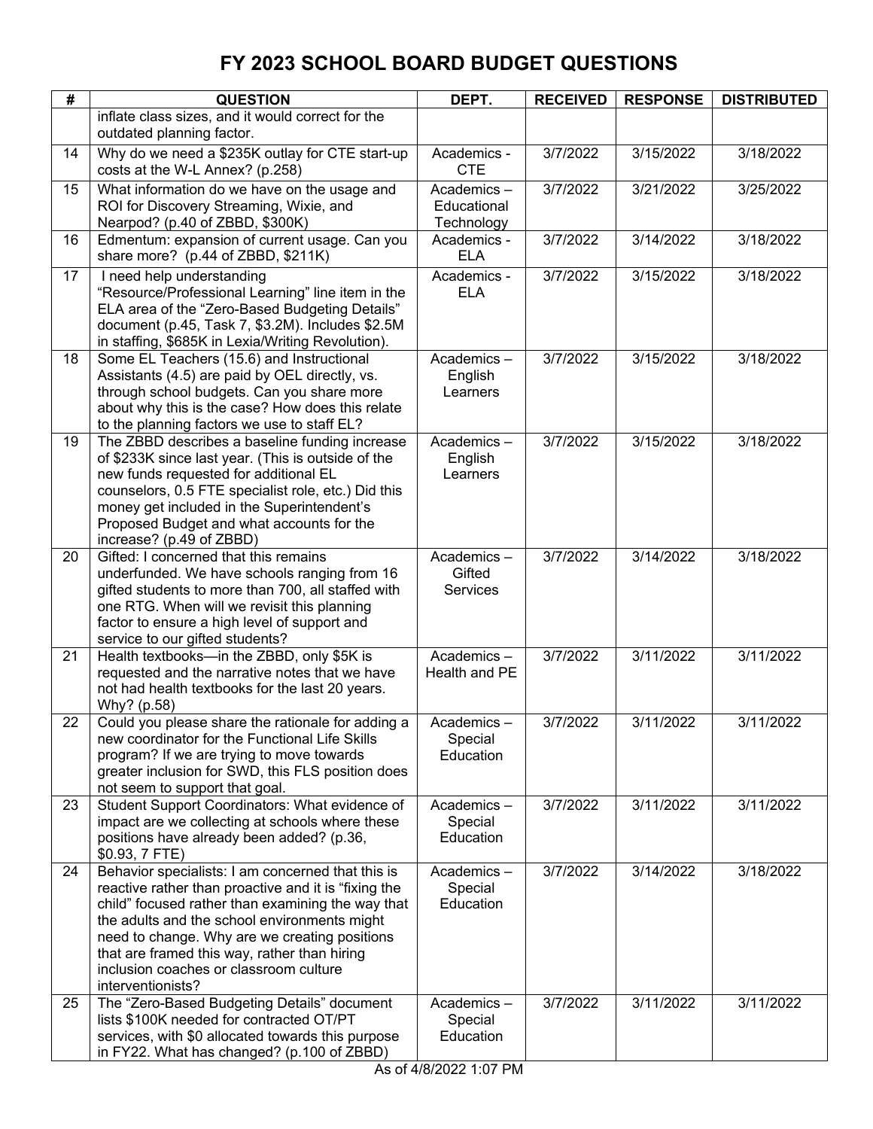| #  | <b>QUESTION</b>                                                                                       | DEPT.                     | <b>RECEIVED</b> | <b>RESPONSE</b> | <b>DISTRIBUTED</b> |
|----|-------------------------------------------------------------------------------------------------------|---------------------------|-----------------|-----------------|--------------------|
|    | inflate class sizes, and it would correct for the                                                     |                           |                 |                 |                    |
|    | outdated planning factor.                                                                             |                           |                 |                 |                    |
| 14 | Why do we need a \$235K outlay for CTE start-up<br>costs at the W-L Annex? (p.258)                    | Academics -<br><b>CTE</b> | 3/7/2022        | 3/15/2022       | 3/18/2022          |
| 15 | What information do we have on the usage and                                                          | Academics-                | 3/7/2022        | 3/21/2022       | 3/25/2022          |
|    | ROI for Discovery Streaming, Wixie, and                                                               | Educational               |                 |                 |                    |
| 16 | Nearpod? (p.40 of ZBBD, \$300K)<br>Edmentum: expansion of current usage. Can you                      | Technology<br>Academics - | 3/7/2022        | 3/14/2022       | 3/18/2022          |
|    | share more? (p.44 of ZBBD, \$211K)                                                                    | <b>ELA</b>                |                 |                 |                    |
| 17 | I need help understanding                                                                             | Academics -               | 3/7/2022        | 3/15/2022       | 3/18/2022          |
|    | "Resource/Professional Learning" line item in the                                                     | <b>ELA</b>                |                 |                 |                    |
|    | ELA area of the "Zero-Based Budgeting Details"                                                        |                           |                 |                 |                    |
|    | document (p.45, Task 7, \$3.2M). Includes \$2.5M<br>in staffing, \$685K in Lexia/Writing Revolution). |                           |                 |                 |                    |
| 18 | Some EL Teachers (15.6) and Instructional                                                             | Academics-                | 3/7/2022        | 3/15/2022       | 3/18/2022          |
|    | Assistants (4.5) are paid by OEL directly, vs.                                                        | English                   |                 |                 |                    |
|    | through school budgets. Can you share more                                                            | Learners                  |                 |                 |                    |
|    | about why this is the case? How does this relate                                                      |                           |                 |                 |                    |
|    | to the planning factors we use to staff EL?                                                           |                           |                 |                 |                    |
| 19 | The ZBBD describes a baseline funding increase                                                        | Academics-                | 3/7/2022        | 3/15/2022       | 3/18/2022          |
|    | of \$233K since last year. (This is outside of the<br>new funds requested for additional EL           | English<br>Learners       |                 |                 |                    |
|    | counselors, 0.5 FTE specialist role, etc.) Did this                                                   |                           |                 |                 |                    |
|    | money get included in the Superintendent's                                                            |                           |                 |                 |                    |
|    | Proposed Budget and what accounts for the                                                             |                           |                 |                 |                    |
|    | increase? (p.49 of ZBBD)                                                                              |                           |                 |                 |                    |
| 20 | Gifted: I concerned that this remains                                                                 | Academics-                | 3/7/2022        | 3/14/2022       | 3/18/2022          |
|    | underfunded. We have schools ranging from 16                                                          | Gifted                    |                 |                 |                    |
|    | gifted students to more than 700, all staffed with<br>one RTG. When will we revisit this planning     | <b>Services</b>           |                 |                 |                    |
|    | factor to ensure a high level of support and                                                          |                           |                 |                 |                    |
|    | service to our gifted students?                                                                       |                           |                 |                 |                    |
| 21 | Health textbooks-in the ZBBD, only \$5K is                                                            | Academics-                | 3/7/2022        | 3/11/2022       | 3/11/2022          |
|    | requested and the narrative notes that we have                                                        | Health and PE             |                 |                 |                    |
|    | not had health textbooks for the last 20 years.                                                       |                           |                 |                 |                    |
| 22 | Why? (p.58)<br>Could you please share the rationale for adding a                                      | Academics-                | 3/7/2022        | 3/11/2022       | 3/11/2022          |
|    | new coordinator for the Functional Life Skills                                                        | Special                   |                 |                 |                    |
|    | program? If we are trying to move towards                                                             | Education                 |                 |                 |                    |
|    | greater inclusion for SWD, this FLS position does                                                     |                           |                 |                 |                    |
|    | not seem to support that goal.                                                                        |                           |                 |                 |                    |
| 23 | Student Support Coordinators: What evidence of                                                        | Academics-                | 3/7/2022        | 3/11/2022       | 3/11/2022          |
|    | impact are we collecting at schools where these<br>positions have already been added? (p.36,          | Special<br>Education      |                 |                 |                    |
|    | \$0.93, 7 FTE)                                                                                        |                           |                 |                 |                    |
| 24 | Behavior specialists: I am concerned that this is                                                     | Academics-                | 3/7/2022        | 3/14/2022       | 3/18/2022          |
|    | reactive rather than proactive and it is "fixing the                                                  | Special                   |                 |                 |                    |
|    | child" focused rather than examining the way that                                                     | Education                 |                 |                 |                    |
|    | the adults and the school environments might                                                          |                           |                 |                 |                    |
|    | need to change. Why are we creating positions                                                         |                           |                 |                 |                    |
|    | that are framed this way, rather than hiring<br>inclusion coaches or classroom culture                |                           |                 |                 |                    |
|    | interventionists?                                                                                     |                           |                 |                 |                    |
| 25 | The "Zero-Based Budgeting Details" document                                                           | Academics-                | 3/7/2022        | 3/11/2022       | 3/11/2022          |
|    | lists \$100K needed for contracted OT/PT                                                              | Special                   |                 |                 |                    |
|    | services, with \$0 allocated towards this purpose                                                     | Education                 |                 |                 |                    |
|    | in FY22. What has changed? (p.100 of ZBBD)                                                            |                           |                 |                 |                    |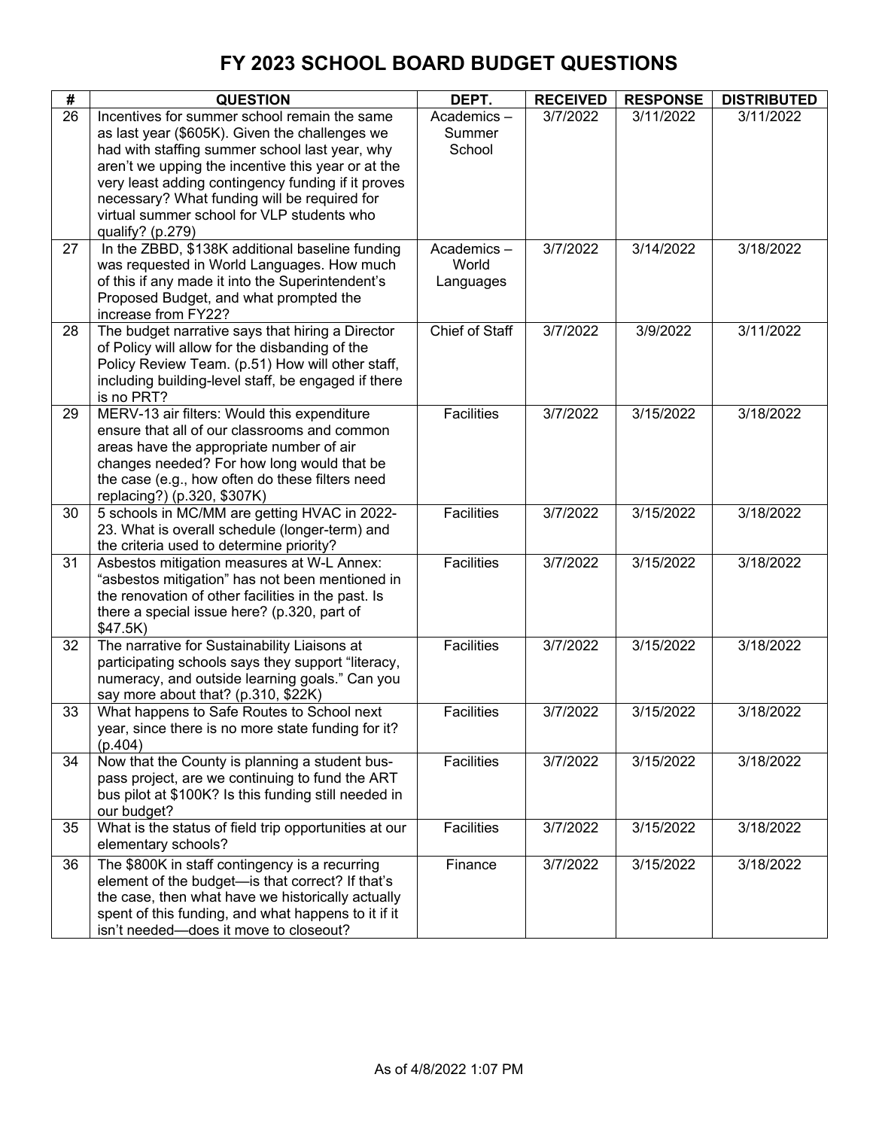| #               | <b>QUESTION</b>                                                                                       | DEPT.                 | <b>RECEIVED</b> | <b>RESPONSE</b> | <b>DISTRIBUTED</b> |
|-----------------|-------------------------------------------------------------------------------------------------------|-----------------------|-----------------|-----------------|--------------------|
| $\overline{26}$ | Incentives for summer school remain the same                                                          | Academics-            | 3/7/2022        | 3/11/2022       | 3/11/2022          |
|                 | as last year (\$605K). Given the challenges we                                                        | Summer                |                 |                 |                    |
|                 | had with staffing summer school last year, why                                                        | School                |                 |                 |                    |
|                 | aren't we upping the incentive this year or at the                                                    |                       |                 |                 |                    |
|                 | very least adding contingency funding if it proves                                                    |                       |                 |                 |                    |
|                 | necessary? What funding will be required for<br>virtual summer school for VLP students who            |                       |                 |                 |                    |
|                 | qualify? (p.279)                                                                                      |                       |                 |                 |                    |
| 27              | In the ZBBD, \$138K additional baseline funding                                                       | Academics-            | 3/7/2022        | 3/14/2022       | 3/18/2022          |
|                 | was requested in World Languages. How much                                                            | World                 |                 |                 |                    |
|                 | of this if any made it into the Superintendent's                                                      | Languages             |                 |                 |                    |
|                 | Proposed Budget, and what prompted the                                                                |                       |                 |                 |                    |
|                 | increase from FY22?                                                                                   |                       |                 |                 |                    |
| 28              | The budget narrative says that hiring a Director                                                      | <b>Chief of Staff</b> | 3/7/2022        | 3/9/2022        | 3/11/2022          |
|                 | of Policy will allow for the disbanding of the                                                        |                       |                 |                 |                    |
|                 | Policy Review Team. (p.51) How will other staff,                                                      |                       |                 |                 |                    |
|                 | including building-level staff, be engaged if there<br>is no PRT?                                     |                       |                 |                 |                    |
| 29              | MERV-13 air filters: Would this expenditure                                                           | <b>Facilities</b>     | 3/7/2022        | 3/15/2022       | 3/18/2022          |
|                 | ensure that all of our classrooms and common                                                          |                       |                 |                 |                    |
|                 | areas have the appropriate number of air                                                              |                       |                 |                 |                    |
|                 | changes needed? For how long would that be                                                            |                       |                 |                 |                    |
|                 | the case (e.g., how often do these filters need                                                       |                       |                 |                 |                    |
|                 | replacing?) (p.320, \$307K)                                                                           |                       |                 |                 |                    |
| 30              | 5 schools in MC/MM are getting HVAC in 2022-                                                          | Facilities            | 3/7/2022        | 3/15/2022       | 3/18/2022          |
|                 | 23. What is overall schedule (longer-term) and                                                        |                       |                 |                 |                    |
| 31              | the criteria used to determine priority?<br>Asbestos mitigation measures at W-L Annex:                | <b>Facilities</b>     | 3/7/2022        | 3/15/2022       | 3/18/2022          |
|                 | "asbestos mitigation" has not been mentioned in                                                       |                       |                 |                 |                    |
|                 | the renovation of other facilities in the past. Is                                                    |                       |                 |                 |                    |
|                 | there a special issue here? (p.320, part of                                                           |                       |                 |                 |                    |
|                 | \$47.5K)                                                                                              |                       |                 |                 |                    |
| 32              | The narrative for Sustainability Liaisons at                                                          | Facilities            | 3/7/2022        | 3/15/2022       | 3/18/2022          |
|                 | participating schools says they support "literacy,                                                    |                       |                 |                 |                    |
|                 | numeracy, and outside learning goals." Can you                                                        |                       |                 |                 |                    |
| 33              | say more about that? (p.310, \$22K)                                                                   | <b>Facilities</b>     | 3/7/2022        | 3/15/2022       | 3/18/2022          |
|                 | What happens to Safe Routes to School next<br>year, since there is no more state funding for it?      |                       |                 |                 |                    |
|                 | (p.404)                                                                                               |                       |                 |                 |                    |
| 34              | Now that the County is planning a student bus-                                                        | Facilities            | 3/7/2022        | 3/15/2022       | 3/18/2022          |
|                 | pass project, are we continuing to fund the ART                                                       |                       |                 |                 |                    |
|                 | bus pilot at \$100K? Is this funding still needed in                                                  |                       |                 |                 |                    |
|                 | our budget?                                                                                           |                       |                 |                 |                    |
| 35              | What is the status of field trip opportunities at our                                                 | Facilities            | 3/7/2022        | 3/15/2022       | 3/18/2022          |
|                 | elementary schools?                                                                                   |                       |                 |                 |                    |
| 36              | The \$800K in staff contingency is a recurring                                                        | Finance               | 3/7/2022        | 3/15/2022       | 3/18/2022          |
|                 | element of the budget-is that correct? If that's<br>the case, then what have we historically actually |                       |                 |                 |                    |
|                 | spent of this funding, and what happens to it if it                                                   |                       |                 |                 |                    |
|                 | isn't needed-does it move to closeout?                                                                |                       |                 |                 |                    |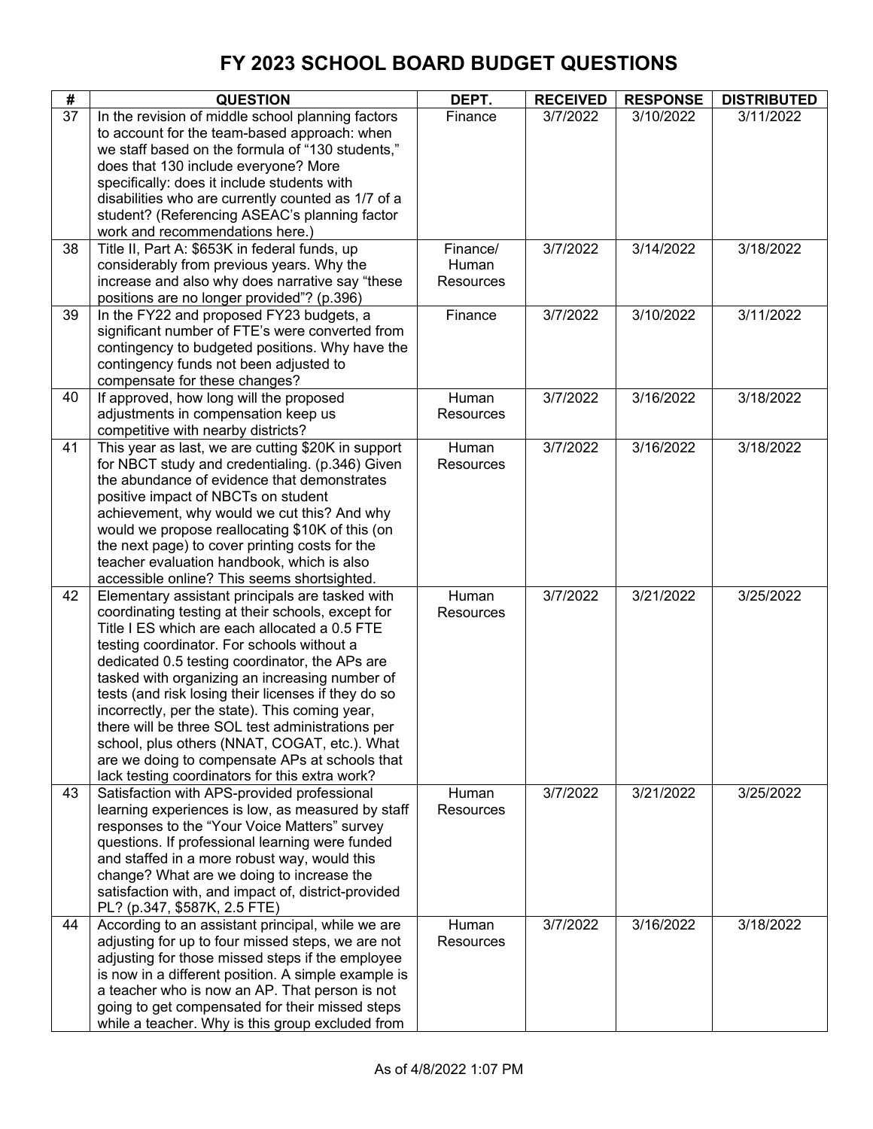| #  | <b>QUESTION</b>                                                                                                                                                                                                                                                                                                                                                                                                                                                                                                                                                                                                           | DEPT.                          | <b>RECEIVED</b> | <b>RESPONSE</b> | <b>DISTRIBUTED</b> |
|----|---------------------------------------------------------------------------------------------------------------------------------------------------------------------------------------------------------------------------------------------------------------------------------------------------------------------------------------------------------------------------------------------------------------------------------------------------------------------------------------------------------------------------------------------------------------------------------------------------------------------------|--------------------------------|-----------------|-----------------|--------------------|
| 37 | In the revision of middle school planning factors<br>to account for the team-based approach: when<br>we staff based on the formula of "130 students,"<br>does that 130 include everyone? More<br>specifically: does it include students with<br>disabilities who are currently counted as 1/7 of a<br>student? (Referencing ASEAC's planning factor<br>work and recommendations here.)                                                                                                                                                                                                                                    | Finance                        | 3/7/2022        | 3/10/2022       | 3/11/2022          |
| 38 | Title II, Part A: \$653K in federal funds, up<br>considerably from previous years. Why the<br>increase and also why does narrative say "these<br>positions are no longer provided"? (p.396)                                                                                                                                                                                                                                                                                                                                                                                                                               | Finance/<br>Human<br>Resources | 3/7/2022        | 3/14/2022       | 3/18/2022          |
| 39 | In the FY22 and proposed FY23 budgets, a<br>significant number of FTE's were converted from<br>contingency to budgeted positions. Why have the<br>contingency funds not been adjusted to<br>compensate for these changes?                                                                                                                                                                                                                                                                                                                                                                                                 | Finance                        | 3/7/2022        | 3/10/2022       | 3/11/2022          |
| 40 | If approved, how long will the proposed<br>adjustments in compensation keep us<br>competitive with nearby districts?                                                                                                                                                                                                                                                                                                                                                                                                                                                                                                      | Human<br>Resources             | 3/7/2022        | 3/16/2022       | 3/18/2022          |
| 41 | This year as last, we are cutting \$20K in support<br>for NBCT study and credentialing. (p.346) Given<br>the abundance of evidence that demonstrates<br>positive impact of NBCTs on student<br>achievement, why would we cut this? And why<br>would we propose reallocating \$10K of this (on<br>the next page) to cover printing costs for the<br>teacher evaluation handbook, which is also<br>accessible online? This seems shortsighted.                                                                                                                                                                              | Human<br>Resources             | 3/7/2022        | 3/16/2022       | 3/18/2022          |
| 42 | Elementary assistant principals are tasked with<br>coordinating testing at their schools, except for<br>Title I ES which are each allocated a 0.5 FTE<br>testing coordinator. For schools without a<br>dedicated 0.5 testing coordinator, the APs are<br>tasked with organizing an increasing number of<br>tests (and risk losing their licenses if they do so<br>incorrectly, per the state). This coming year,<br>there will be three SOL test administrations per<br>school, plus others (NNAT, COGAT, etc.). What<br>are we doing to compensate APs at schools that<br>lack testing coordinators for this extra work? | Human<br>Resources             | 3/7/2022        | 3/21/2022       | 3/25/2022          |
| 43 | Satisfaction with APS-provided professional<br>learning experiences is low, as measured by staff<br>responses to the "Your Voice Matters" survey<br>questions. If professional learning were funded<br>and staffed in a more robust way, would this<br>change? What are we doing to increase the<br>satisfaction with, and impact of, district-provided<br>PL? (p.347, \$587K, 2.5 FTE)                                                                                                                                                                                                                                   | Human<br><b>Resources</b>      | 3/7/2022        | 3/21/2022       | 3/25/2022          |
| 44 | According to an assistant principal, while we are<br>adjusting for up to four missed steps, we are not<br>adjusting for those missed steps if the employee<br>is now in a different position. A simple example is<br>a teacher who is now an AP. That person is not<br>going to get compensated for their missed steps<br>while a teacher. Why is this group excluded from                                                                                                                                                                                                                                                | Human<br>Resources             | 3/7/2022        | 3/16/2022       | 3/18/2022          |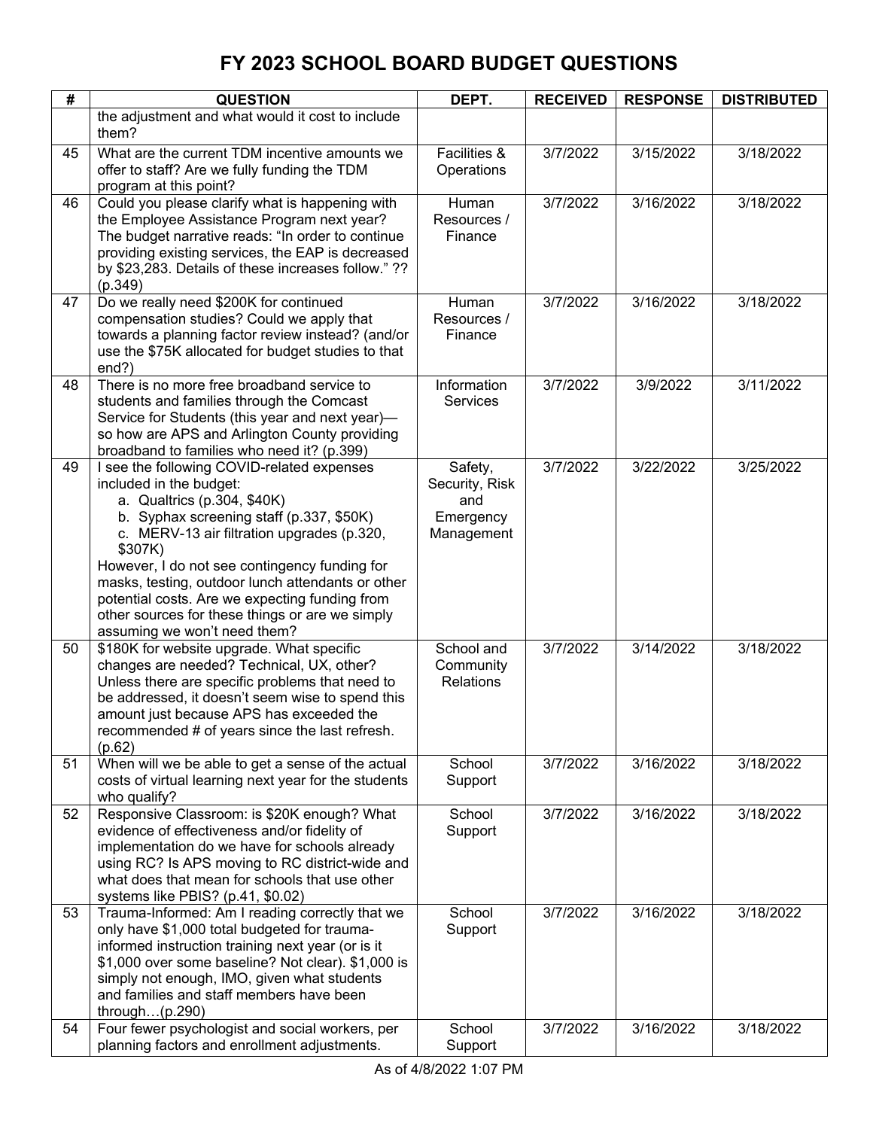| #  | <b>QUESTION</b>                                                                                     | DEPT.                   | <b>RECEIVED</b> | <b>RESPONSE</b> | <b>DISTRIBUTED</b> |
|----|-----------------------------------------------------------------------------------------------------|-------------------------|-----------------|-----------------|--------------------|
|    | the adjustment and what would it cost to include                                                    |                         |                 |                 |                    |
|    | them?                                                                                               |                         |                 |                 |                    |
| 45 | What are the current TDM incentive amounts we                                                       | Facilities &            | 3/7/2022        | 3/15/2022       | 3/18/2022          |
|    | offer to staff? Are we fully funding the TDM                                                        | Operations              |                 |                 |                    |
|    | program at this point?                                                                              |                         |                 |                 |                    |
| 46 | Could you please clarify what is happening with                                                     | Human                   | 3/7/2022        | 3/16/2022       | 3/18/2022          |
|    | the Employee Assistance Program next year?                                                          | Resources /             |                 |                 |                    |
|    | The budget narrative reads: "In order to continue                                                   | Finance                 |                 |                 |                    |
|    | providing existing services, the EAP is decreased                                                   |                         |                 |                 |                    |
|    | by \$23,283. Details of these increases follow." ??                                                 |                         |                 |                 |                    |
|    | (p.349)                                                                                             |                         |                 |                 |                    |
| 47 | Do we really need \$200K for continued<br>compensation studies? Could we apply that                 | Human<br>Resources /    | 3/7/2022        | 3/16/2022       | 3/18/2022          |
|    | towards a planning factor review instead? (and/or                                                   | Finance                 |                 |                 |                    |
|    | use the \$75K allocated for budget studies to that                                                  |                         |                 |                 |                    |
|    | end?)                                                                                               |                         |                 |                 |                    |
| 48 | There is no more free broadband service to                                                          | Information             | 3/7/2022        | 3/9/2022        | 3/11/2022          |
|    | students and families through the Comcast                                                           | <b>Services</b>         |                 |                 |                    |
|    | Service for Students (this year and next year)-                                                     |                         |                 |                 |                    |
|    | so how are APS and Arlington County providing                                                       |                         |                 |                 |                    |
|    | broadband to families who need it? (p.399)                                                          |                         |                 |                 |                    |
| 49 | I see the following COVID-related expenses                                                          | Safety,                 | 3/7/2022        | 3/22/2022       | 3/25/2022          |
|    | included in the budget:                                                                             | Security, Risk          |                 |                 |                    |
|    | a. Qualtrics (p.304, \$40K)                                                                         | and                     |                 |                 |                    |
|    | b. Syphax screening staff (p.337, \$50K)<br>c. MERV-13 air filtration upgrades (p.320,              | Emergency<br>Management |                 |                 |                    |
|    | \$307K)                                                                                             |                         |                 |                 |                    |
|    | However, I do not see contingency funding for                                                       |                         |                 |                 |                    |
|    | masks, testing, outdoor lunch attendants or other                                                   |                         |                 |                 |                    |
|    | potential costs. Are we expecting funding from                                                      |                         |                 |                 |                    |
|    | other sources for these things or are we simply                                                     |                         |                 |                 |                    |
|    | assuming we won't need them?                                                                        |                         |                 |                 |                    |
| 50 | \$180K for website upgrade. What specific                                                           | School and              | 3/7/2022        | 3/14/2022       | 3/18/2022          |
|    | changes are needed? Technical, UX, other?                                                           | Community               |                 |                 |                    |
|    | Unless there are specific problems that need to<br>be addressed, it doesn't seem wise to spend this | <b>Relations</b>        |                 |                 |                    |
|    | amount just because APS has exceeded the                                                            |                         |                 |                 |                    |
|    | recommended # of years since the last refresh.                                                      |                         |                 |                 |                    |
|    | (p.62)                                                                                              |                         |                 |                 |                    |
| 51 | When will we be able to get a sense of the actual                                                   | School                  | 3/7/2022        | 3/16/2022       | 3/18/2022          |
|    | costs of virtual learning next year for the students                                                | Support                 |                 |                 |                    |
|    | who qualify?                                                                                        |                         |                 |                 |                    |
| 52 | Responsive Classroom: is \$20K enough? What                                                         | School                  | 3/7/2022        | 3/16/2022       | 3/18/2022          |
|    | evidence of effectiveness and/or fidelity of                                                        | Support                 |                 |                 |                    |
|    | implementation do we have for schools already                                                       |                         |                 |                 |                    |
|    | using RC? Is APS moving to RC district-wide and                                                     |                         |                 |                 |                    |
|    | what does that mean for schools that use other                                                      |                         |                 |                 |                    |
| 53 | systems like PBIS? (p.41, \$0.02)<br>Trauma-Informed: Am I reading correctly that we                | School                  | 3/7/2022        | 3/16/2022       | 3/18/2022          |
|    | only have \$1,000 total budgeted for trauma-                                                        | Support                 |                 |                 |                    |
|    | informed instruction training next year (or is it                                                   |                         |                 |                 |                    |
|    | \$1,000 over some baseline? Not clear). \$1,000 is                                                  |                         |                 |                 |                    |
|    | simply not enough, IMO, given what students                                                         |                         |                 |                 |                    |
|    | and families and staff members have been                                                            |                         |                 |                 |                    |
|    | through $(p.290)$                                                                                   |                         |                 |                 |                    |
| 54 | Four fewer psychologist and social workers, per                                                     | School                  | 3/7/2022        | 3/16/2022       | 3/18/2022          |
|    | planning factors and enrollment adjustments.                                                        | Support                 |                 |                 |                    |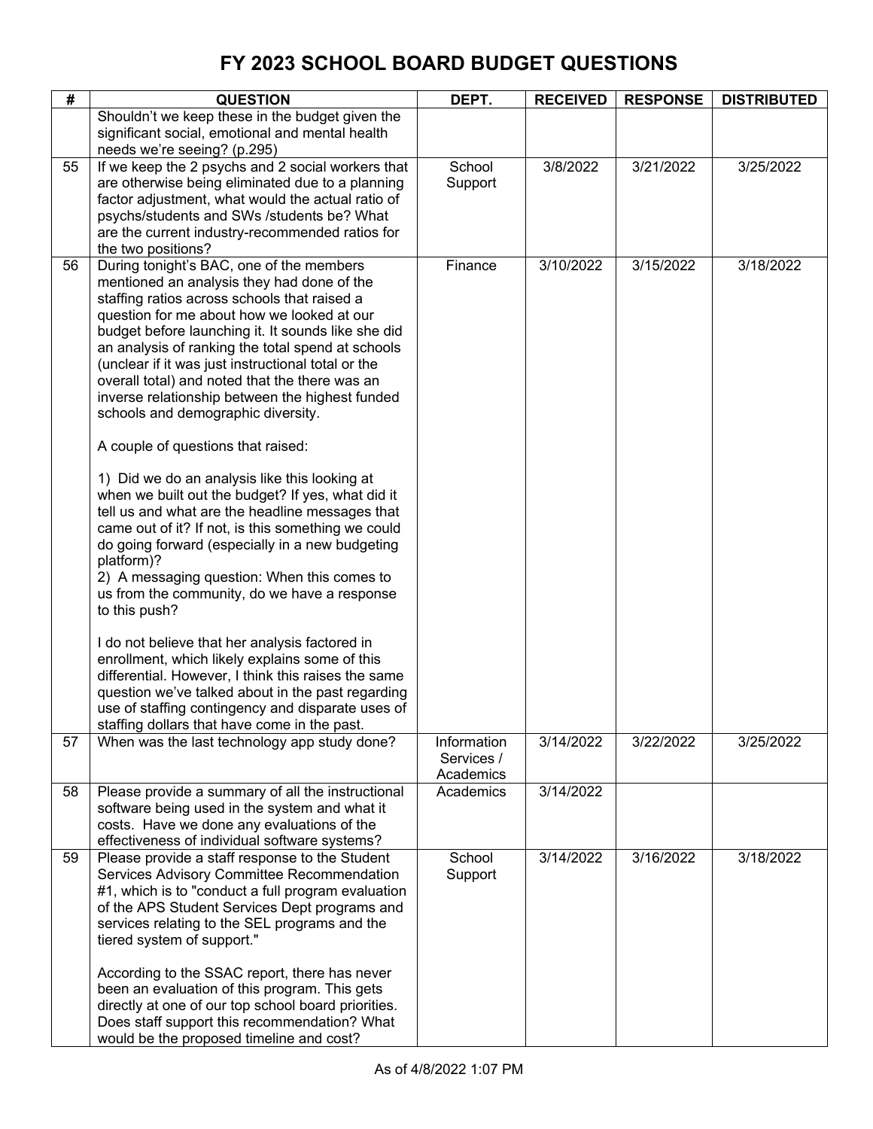| #  | <b>QUESTION</b>                                                                                                                                                                                                                                                                                                                                                                                                                                                                                                                                                                                                                                                                                                                                                                                                                                                                                                                                                                                                                                                                                                                                                                                                                                             | DEPT.                                  | <b>RECEIVED</b> | <b>RESPONSE</b> | <b>DISTRIBUTED</b> |
|----|-------------------------------------------------------------------------------------------------------------------------------------------------------------------------------------------------------------------------------------------------------------------------------------------------------------------------------------------------------------------------------------------------------------------------------------------------------------------------------------------------------------------------------------------------------------------------------------------------------------------------------------------------------------------------------------------------------------------------------------------------------------------------------------------------------------------------------------------------------------------------------------------------------------------------------------------------------------------------------------------------------------------------------------------------------------------------------------------------------------------------------------------------------------------------------------------------------------------------------------------------------------|----------------------------------------|-----------------|-----------------|--------------------|
|    | Shouldn't we keep these in the budget given the<br>significant social, emotional and mental health<br>needs we're seeing? (p.295)                                                                                                                                                                                                                                                                                                                                                                                                                                                                                                                                                                                                                                                                                                                                                                                                                                                                                                                                                                                                                                                                                                                           |                                        |                 |                 |                    |
| 55 | If we keep the 2 psychs and 2 social workers that<br>are otherwise being eliminated due to a planning<br>factor adjustment, what would the actual ratio of<br>psychs/students and SWs /students be? What<br>are the current industry-recommended ratios for<br>the two positions?                                                                                                                                                                                                                                                                                                                                                                                                                                                                                                                                                                                                                                                                                                                                                                                                                                                                                                                                                                           | School<br>Support                      | 3/8/2022        | 3/21/2022       | 3/25/2022          |
| 56 | During tonight's BAC, one of the members<br>mentioned an analysis they had done of the<br>staffing ratios across schools that raised a<br>question for me about how we looked at our<br>budget before launching it. It sounds like she did<br>an analysis of ranking the total spend at schools<br>(unclear if it was just instructional total or the<br>overall total) and noted that the there was an<br>inverse relationship between the highest funded<br>schools and demographic diversity.<br>A couple of questions that raised:<br>1) Did we do an analysis like this looking at<br>when we built out the budget? If yes, what did it<br>tell us and what are the headline messages that<br>came out of it? If not, is this something we could<br>do going forward (especially in a new budgeting<br>platform)?<br>2) A messaging question: When this comes to<br>us from the community, do we have a response<br>to this push?<br>I do not believe that her analysis factored in<br>enrollment, which likely explains some of this<br>differential. However, I think this raises the same<br>question we've talked about in the past regarding<br>use of staffing contingency and disparate uses of<br>staffing dollars that have come in the past. | Finance                                | 3/10/2022       | 3/15/2022       | 3/18/2022          |
| 57 | When was the last technology app study done?                                                                                                                                                                                                                                                                                                                                                                                                                                                                                                                                                                                                                                                                                                                                                                                                                                                                                                                                                                                                                                                                                                                                                                                                                | Information<br>Services /<br>Academics | 3/14/2022       | 3/22/2022       | 3/25/2022          |
| 58 | Please provide a summary of all the instructional<br>software being used in the system and what it<br>costs. Have we done any evaluations of the<br>effectiveness of individual software systems?                                                                                                                                                                                                                                                                                                                                                                                                                                                                                                                                                                                                                                                                                                                                                                                                                                                                                                                                                                                                                                                           | Academics                              | 3/14/2022       |                 |                    |
| 59 | Please provide a staff response to the Student<br>Services Advisory Committee Recommendation<br>#1, which is to "conduct a full program evaluation<br>of the APS Student Services Dept programs and<br>services relating to the SEL programs and the<br>tiered system of support."<br>According to the SSAC report, there has never<br>been an evaluation of this program. This gets<br>directly at one of our top school board priorities.<br>Does staff support this recommendation? What<br>would be the proposed timeline and cost?                                                                                                                                                                                                                                                                                                                                                                                                                                                                                                                                                                                                                                                                                                                     | School<br>Support                      | 3/14/2022       | 3/16/2022       | 3/18/2022          |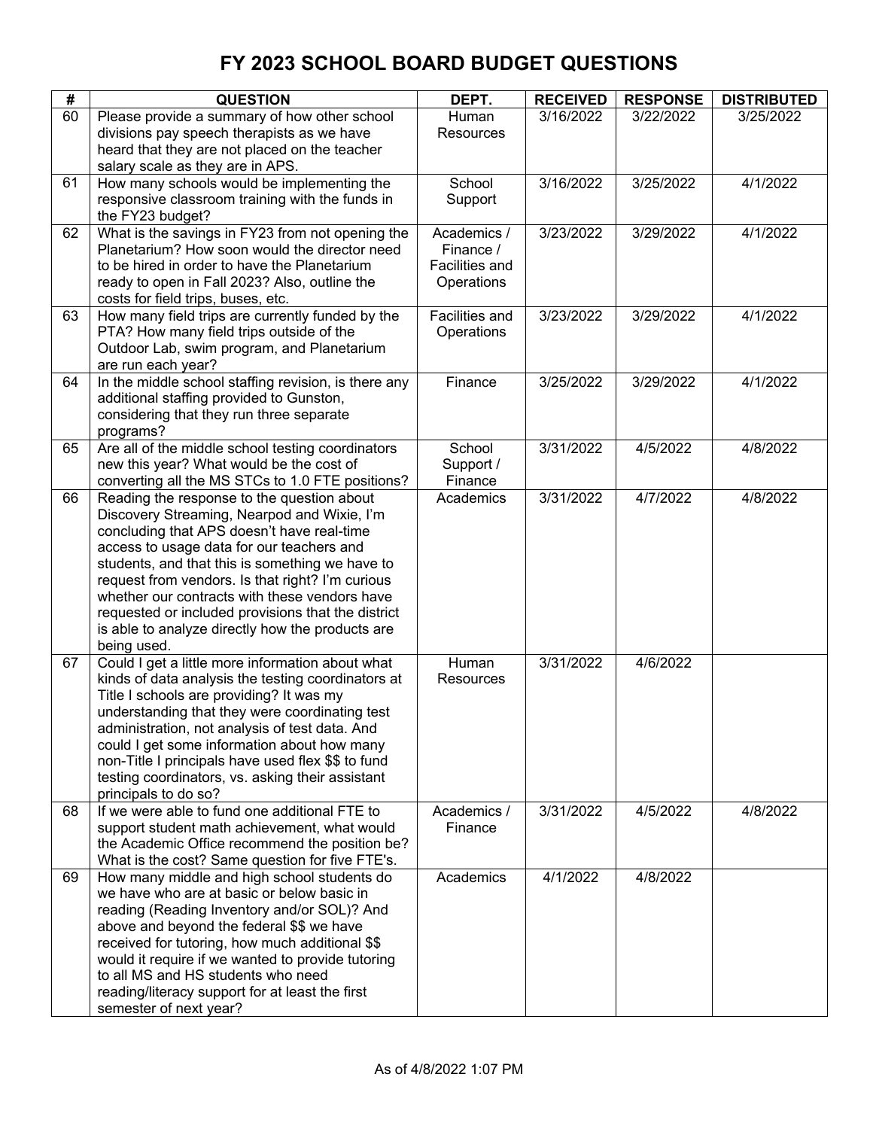| #  | <b>QUESTION</b>                                                                                                                                                                                                                                                                                                                                                                                                                                                       | DEPT.                                                    | <b>RECEIVED</b> | <b>RESPONSE</b> | <b>DISTRIBUTED</b> |
|----|-----------------------------------------------------------------------------------------------------------------------------------------------------------------------------------------------------------------------------------------------------------------------------------------------------------------------------------------------------------------------------------------------------------------------------------------------------------------------|----------------------------------------------------------|-----------------|-----------------|--------------------|
| 60 | Please provide a summary of how other school<br>divisions pay speech therapists as we have<br>heard that they are not placed on the teacher<br>salary scale as they are in APS.                                                                                                                                                                                                                                                                                       | Human<br>Resources                                       | 3/16/2022       | 3/22/2022       | 3/25/2022          |
| 61 | How many schools would be implementing the<br>responsive classroom training with the funds in<br>the FY23 budget?                                                                                                                                                                                                                                                                                                                                                     | School<br>Support                                        | 3/16/2022       | 3/25/2022       | 4/1/2022           |
| 62 | What is the savings in FY23 from not opening the<br>Planetarium? How soon would the director need<br>to be hired in order to have the Planetarium<br>ready to open in Fall 2023? Also, outline the<br>costs for field trips, buses, etc.                                                                                                                                                                                                                              | Academics /<br>Finance /<br>Facilities and<br>Operations | 3/23/2022       | 3/29/2022       | 4/1/2022           |
| 63 | How many field trips are currently funded by the<br>PTA? How many field trips outside of the<br>Outdoor Lab, swim program, and Planetarium<br>are run each year?                                                                                                                                                                                                                                                                                                      | Facilities and<br>Operations                             | 3/23/2022       | 3/29/2022       | 4/1/2022           |
| 64 | In the middle school staffing revision, is there any<br>additional staffing provided to Gunston,<br>considering that they run three separate<br>programs?                                                                                                                                                                                                                                                                                                             | Finance                                                  | 3/25/2022       | 3/29/2022       | 4/1/2022           |
| 65 | Are all of the middle school testing coordinators<br>new this year? What would be the cost of<br>converting all the MS STCs to 1.0 FTE positions?                                                                                                                                                                                                                                                                                                                     | School<br>Support /<br>Finance                           | 3/31/2022       | 4/5/2022        | 4/8/2022           |
| 66 | Reading the response to the question about<br>Discovery Streaming, Nearpod and Wixie, I'm<br>concluding that APS doesn't have real-time<br>access to usage data for our teachers and<br>students, and that this is something we have to<br>request from vendors. Is that right? I'm curious<br>whether our contracts with these vendors have<br>requested or included provisions that the district<br>is able to analyze directly how the products are<br>being used. | Academics                                                | 3/31/2022       | 4/7/2022        | 4/8/2022           |
| 67 | Could I get a little more information about what<br>kinds of data analysis the testing coordinators at<br>Title I schools are providing? It was my<br>understanding that they were coordinating test<br>administration, not analysis of test data. And<br>could I get some information about how many<br>non-Title I principals have used flex \$\$ to fund<br>testing coordinators, vs. asking their assistant<br>principals to do so?                               | Human<br>Resources                                       | 3/31/2022       | 4/6/2022        |                    |
| 68 | If we were able to fund one additional FTE to<br>support student math achievement, what would<br>the Academic Office recommend the position be?<br>What is the cost? Same question for five FTE's.                                                                                                                                                                                                                                                                    | Academics /<br>Finance                                   | 3/31/2022       | 4/5/2022        | 4/8/2022           |
| 69 | How many middle and high school students do<br>we have who are at basic or below basic in<br>reading (Reading Inventory and/or SOL)? And<br>above and beyond the federal \$\$ we have<br>received for tutoring, how much additional \$\$<br>would it require if we wanted to provide tutoring<br>to all MS and HS students who need<br>reading/literacy support for at least the first<br>semester of next year?                                                      | Academics                                                | 4/1/2022        | 4/8/2022        |                    |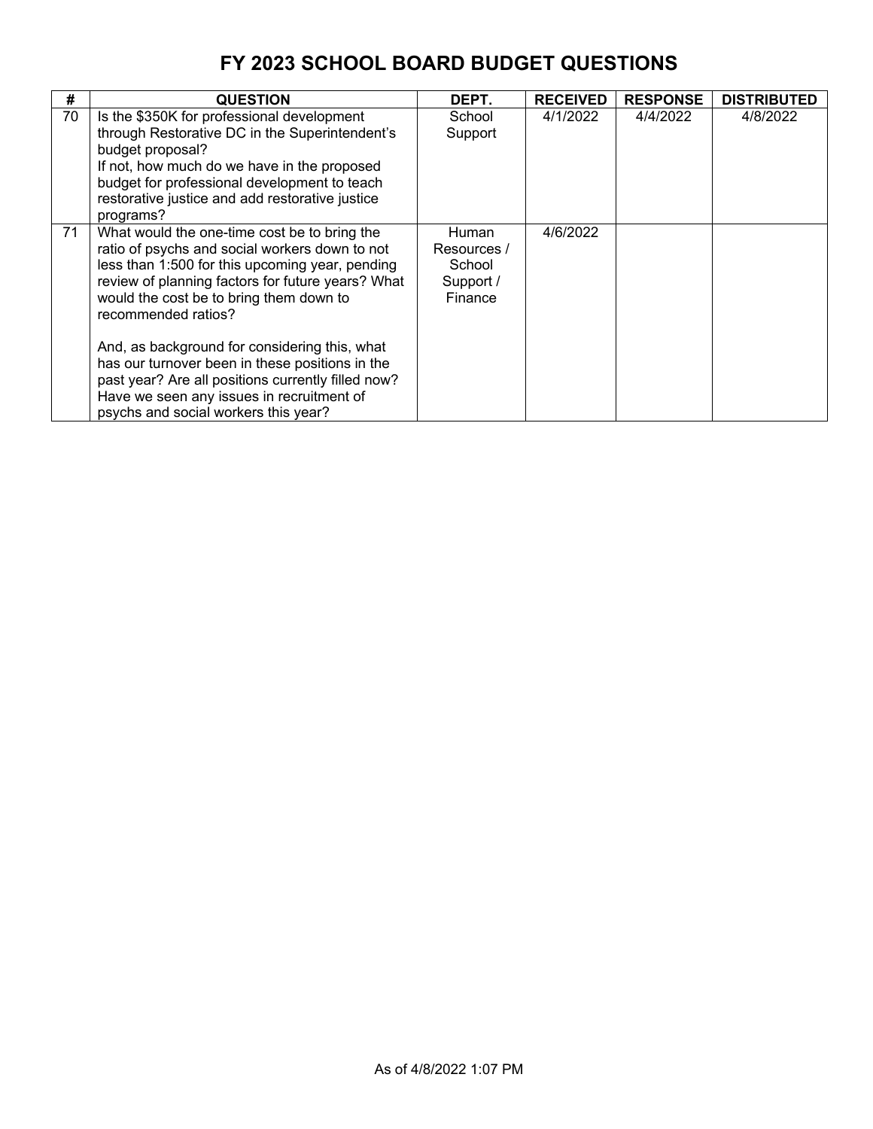| #  | <b>QUESTION</b>                                                                                                                                                                                                                                                                                                                                                                                                                                                                                                         | DEPT.                                                         | <b>RECEIVED</b> | <b>RESPONSE</b> | <b>DISTRIBUTED</b> |
|----|-------------------------------------------------------------------------------------------------------------------------------------------------------------------------------------------------------------------------------------------------------------------------------------------------------------------------------------------------------------------------------------------------------------------------------------------------------------------------------------------------------------------------|---------------------------------------------------------------|-----------------|-----------------|--------------------|
| 70 | Is the \$350K for professional development<br>through Restorative DC in the Superintendent's<br>budget proposal?<br>If not, how much do we have in the proposed<br>budget for professional development to teach<br>restorative justice and add restorative justice<br>programs?                                                                                                                                                                                                                                         | School<br>Support                                             | 4/1/2022        | 4/4/2022        | 4/8/2022           |
| 71 | What would the one-time cost be to bring the<br>ratio of psychs and social workers down to not<br>less than 1:500 for this upcoming year, pending<br>review of planning factors for future years? What<br>would the cost be to bring them down to<br>recommended ratios?<br>And, as background for considering this, what<br>has our turnover been in these positions in the<br>past year? Are all positions currently filled now?<br>Have we seen any issues in recruitment of<br>psychs and social workers this year? | <b>Human</b><br>Resources /<br>School<br>Support /<br>Finance | 4/6/2022        |                 |                    |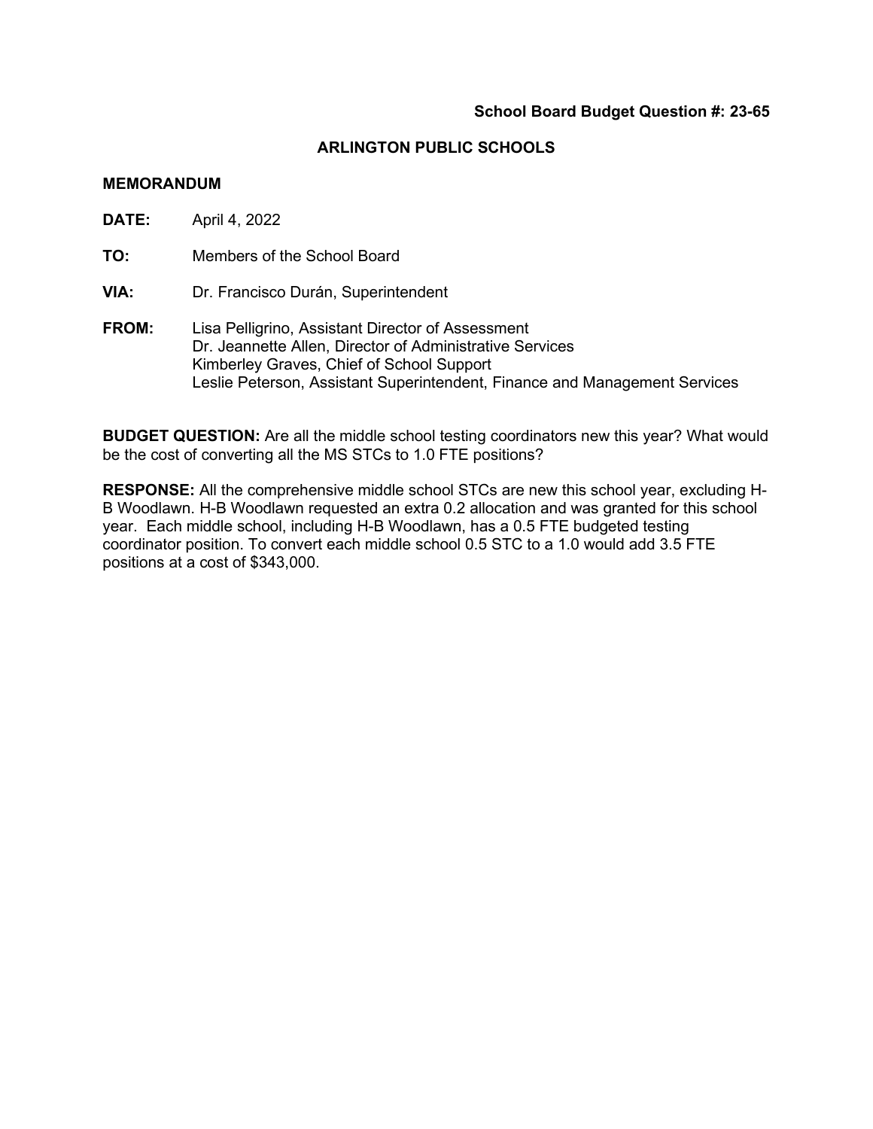#### **MEMORANDUM**

**DATE:** April 4, 2022

**TO:** Members of the School Board

**VIA:** Dr. Francisco Durán, Superintendent

**FROM:** Lisa Pelligrino, Assistant Director of Assessment Dr. Jeannette Allen, Director of Administrative Services Kimberley Graves, Chief of School Support Leslie Peterson, Assistant Superintendent, Finance and Management Services

**BUDGET QUESTION:** Are all the middle school testing coordinators new this year? What would be the cost of converting all the MS STCs to 1.0 FTE positions?

**RESPONSE:** All the comprehensive middle school STCs are new this school year, excluding H-B Woodlawn. H-B Woodlawn requested an extra 0.2 allocation and was granted for this school year. Each middle school, including H-B Woodlawn, has a 0.5 FTE budgeted testing coordinator position. To convert each middle school 0.5 STC to a 1.0 would add 3.5 FTE positions at a cost of \$343,000.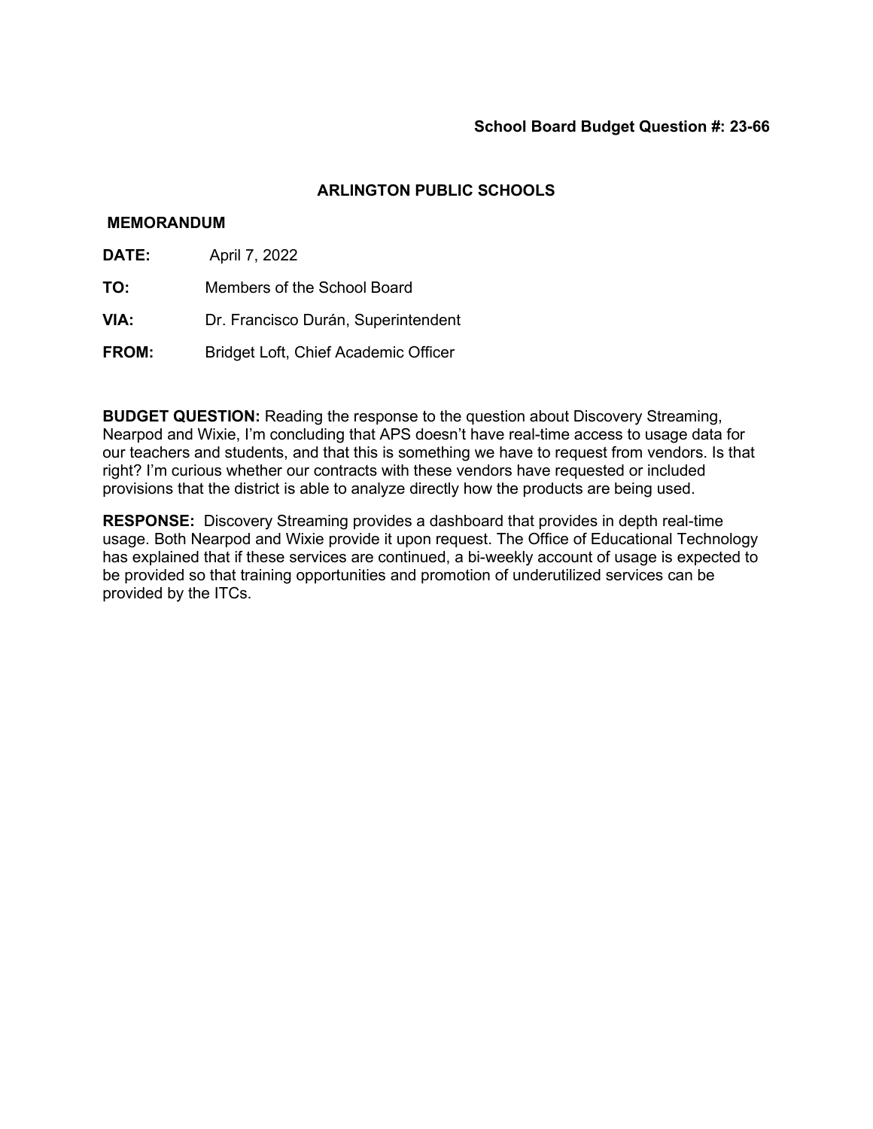### **MEMORANDUM**

- **DATE:** April 7, 2022
- **TO:** Members of the School Board
- **VIA:** Dr. Francisco Durán, Superintendent
- **FROM:** Bridget Loft, Chief Academic Officer

**BUDGET QUESTION:** Reading the response to the question about Discovery Streaming, Nearpod and Wixie, I'm concluding that APS doesn't have real-time access to usage data for our teachers and students, and that this is something we have to request from vendors. Is that right? I'm curious whether our contracts with these vendors have requested or included provisions that the district is able to analyze directly how the products are being used.

**RESPONSE:** Discovery Streaming provides a dashboard that provides in depth real-time usage. Both Nearpod and Wixie provide it upon request. The Office of Educational Technology has explained that if these services are continued, a bi-weekly account of usage is expected to be provided so that training opportunities and promotion of underutilized services can be provided by the ITCs.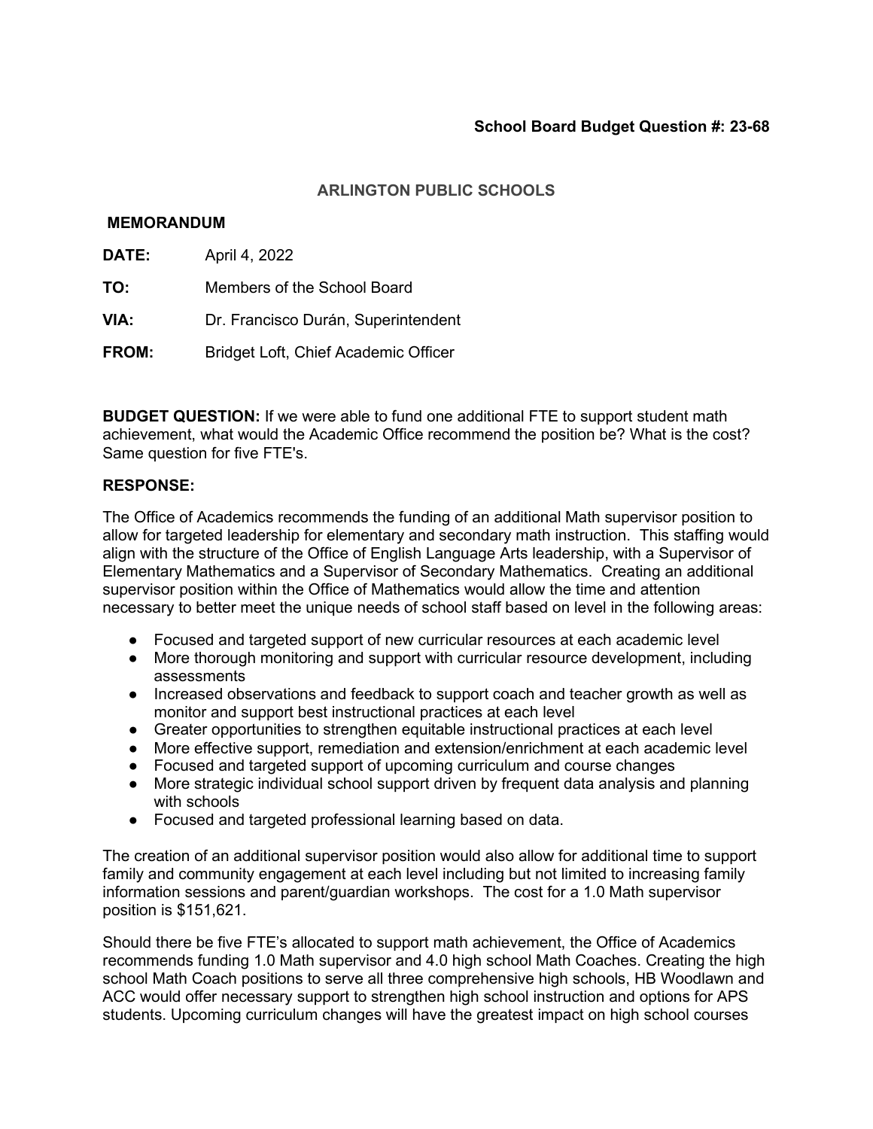### **MEMORANDUM**

- **DATE:** April 4, 2022
- **TO:** Members of the School Board
- **VIA:** Dr. Francisco Durán, Superintendent
- **FROM:** Bridget Loft, Chief Academic Officer

**BUDGET QUESTION:** If we were able to fund one additional FTE to support student math achievement, what would the Academic Office recommend the position be? What is the cost? Same question for five FTE's.

### **RESPONSE:**

The Office of Academics recommends the funding of an additional Math supervisor position to allow for targeted leadership for elementary and secondary math instruction. This staffing would align with the structure of the Office of English Language Arts leadership, with a Supervisor of Elementary Mathematics and a Supervisor of Secondary Mathematics. Creating an additional supervisor position within the Office of Mathematics would allow the time and attention necessary to better meet the unique needs of school staff based on level in the following areas:

- Focused and targeted support of new curricular resources at each academic level
- More thorough monitoring and support with curricular resource development, including assessments
- Increased observations and feedback to support coach and teacher growth as well as monitor and support best instructional practices at each level
- Greater opportunities to strengthen equitable instructional practices at each level
- More effective support, remediation and extension/enrichment at each academic level
- Focused and targeted support of upcoming curriculum and course changes
- More strategic individual school support driven by frequent data analysis and planning with schools
- Focused and targeted professional learning based on data.

The creation of an additional supervisor position would also allow for additional time to support family and community engagement at each level including but not limited to increasing family information sessions and parent/guardian workshops. The cost for a 1.0 Math supervisor position is \$151,621.

Should there be five FTE's allocated to support math achievement, the Office of Academics recommends funding 1.0 Math supervisor and 4.0 high school Math Coaches. Creating the high school Math Coach positions to serve all three comprehensive high schools, HB Woodlawn and ACC would offer necessary support to strengthen high school instruction and options for APS students. Upcoming curriculum changes will have the greatest impact on high school courses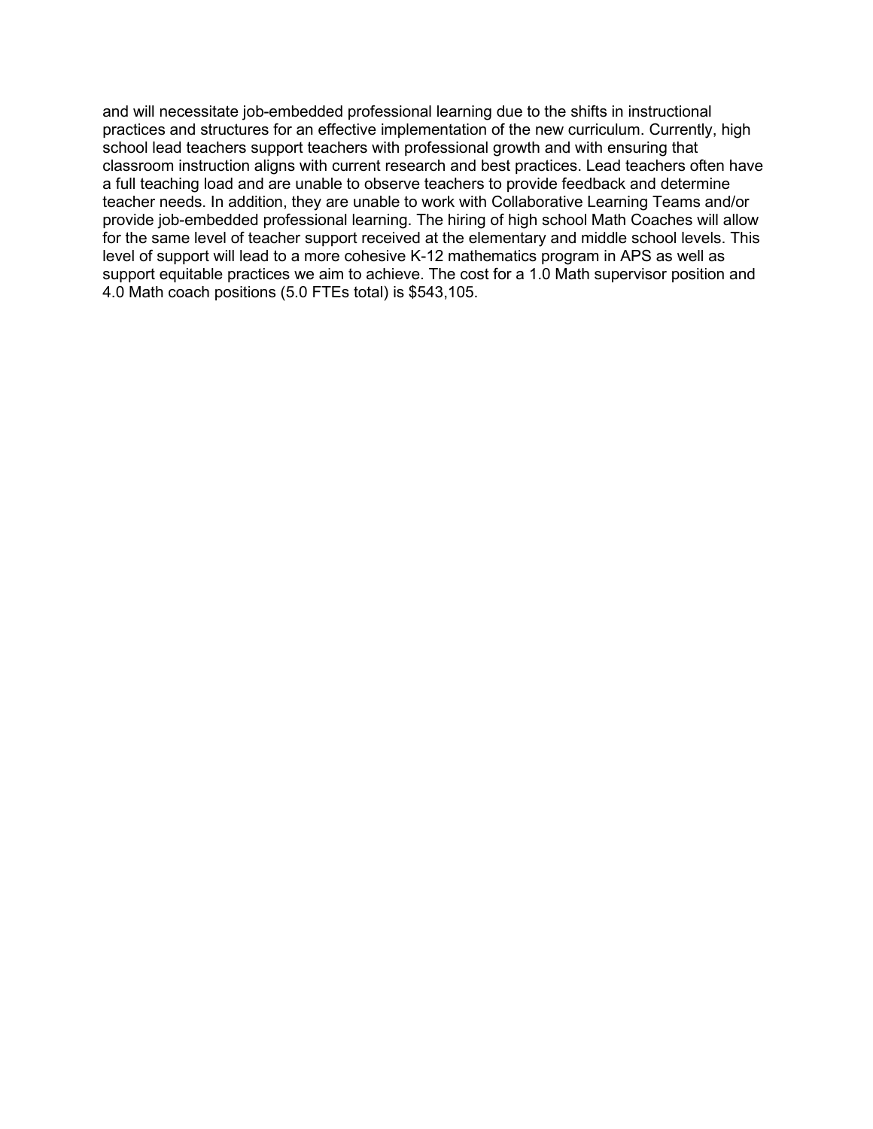and will necessitate job-embedded professional learning due to the shifts in instructional practices and structures for an effective implementation of the new curriculum. Currently, high school lead teachers support teachers with professional growth and with ensuring that classroom instruction aligns with current research and best practices. Lead teachers often have a full teaching load and are unable to observe teachers to provide feedback and determine teacher needs. In addition, they are unable to work with Collaborative Learning Teams and/or provide job-embedded professional learning. The hiring of high school Math Coaches will allow for the same level of teacher support received at the elementary and middle school levels. This level of support will lead to a more cohesive K-12 mathematics program in APS as well as support equitable practices we aim to achieve. The cost for a 1.0 Math supervisor position and 4.0 Math coach positions (5.0 FTEs total) is \$543,105.